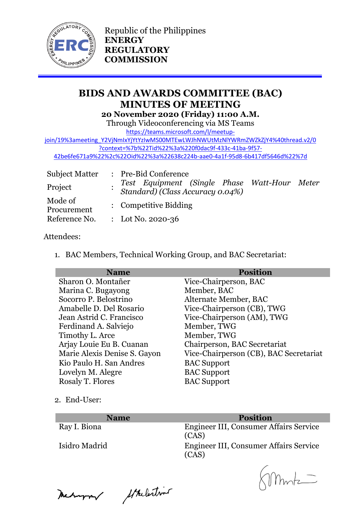

Republic of the Philippines **ENERGY REGULATORY COMMISSION**

# **BIDS AND AWARDS COMMITTEE (BAC) MINUTES OF MEETING 20 November 2020 (Friday) 11:00 A.M.**

Through Videoconferencing via MS Teams

[https://teams.microsoft.com/l/meetup-](https://teams.microsoft.com/l/meetup-join/19%3ameeting_Y2VjNmIxYjYtYzIwMS00MTEwLWJhNWUtMzNlYWRmZWZkZjY4%40thread.v2/0?context=%7b%22Tid%22%3a%220f0dac9f-433c-41ba-9f57-42be6fe671a9%22%2c%22Oid%22%3a%22638c224b-aae0-4a1f-95d8-6b417df5646d%22%7d)

[join/19%3ameeting\\_Y2VjNmIxYjYtYzIwMS00MTEwLWJhNWUtMzNlYWRmZWZkZjY4%40thread.v2/0](https://teams.microsoft.com/l/meetup-join/19%3ameeting_Y2VjNmIxYjYtYzIwMS00MTEwLWJhNWUtMzNlYWRmZWZkZjY4%40thread.v2/0?context=%7b%22Tid%22%3a%220f0dac9f-433c-41ba-9f57-42be6fe671a9%22%2c%22Oid%22%3a%22638c224b-aae0-4a1f-95d8-6b417df5646d%22%7d) [?context=%7b%22Tid%22%3a%220f0dac9f-433c-41ba-9f57-](https://teams.microsoft.com/l/meetup-join/19%3ameeting_Y2VjNmIxYjYtYzIwMS00MTEwLWJhNWUtMzNlYWRmZWZkZjY4%40thread.v2/0?context=%7b%22Tid%22%3a%220f0dac9f-433c-41ba-9f57-42be6fe671a9%22%2c%22Oid%22%3a%22638c224b-aae0-4a1f-95d8-6b417df5646d%22%7d)

[42be6fe671a9%22%2c%22Oid%22%3a%22638c224b-aae0-4a1f-95d8-6b417df5646d%22%7d](https://teams.microsoft.com/l/meetup-join/19%3ameeting_Y2VjNmIxYjYtYzIwMS00MTEwLWJhNWUtMzNlYWRmZWZkZjY4%40thread.v2/0?context=%7b%22Tid%22%3a%220f0dac9f-433c-41ba-9f57-42be6fe671a9%22%2c%22Oid%22%3a%22638c224b-aae0-4a1f-95d8-6b417df5646d%22%7d)

| <b>Subject Matter</b>  | : Pre-Bid Conference                                                             |
|------------------------|----------------------------------------------------------------------------------|
| Project                | Test Equipment (Single Phase Watt-Hour Meter<br>Standard) (Class Accuracy 0.04%) |
| Mode of<br>Procurement | : Competitive Bidding                                                            |
| Reference No.          | : Lot No. 2020-36                                                                |

### Attendees:

1. BAC Members, Technical Working Group, and BAC Secretariat:

| <b>Name</b>                  | <b>Position</b>                        |
|------------------------------|----------------------------------------|
| Sharon O. Montañer           | Vice-Chairperson, BAC                  |
| Marina C. Bugayong           | Member, BAC                            |
| Socorro P. Belostrino        | Alternate Member, BAC                  |
| Amabelle D. Del Rosario      | Vice-Chairperson (CB), TWG             |
| Jean Astrid C. Francisco     | Vice-Chairperson (AM), TWG             |
| Ferdinand A. Salviejo        | Member, TWG                            |
| Timothy L. Arce              | Member, TWG                            |
| Arjay Louie Eu B. Cuanan     | Chairperson, BAC Secretariat           |
| Marie Alexis Denise S. Gayon | Vice-Chairperson (CB), BAC Secretariat |
| Kio Paulo H. San Andres      | <b>BAC</b> Support                     |
| Lovelyn M. Alegre            | <b>BAC</b> Support                     |
| Rosaly T. Flores             | <b>BAC</b> Support                     |
|                              |                                        |

2. End-User:

| <b>Name</b>   | <b>Position</b>                                 |
|---------------|-------------------------------------------------|
| Ray I. Biona  | Engineer III, Consumer Affairs Service<br>(CAS) |
| Isidro Madrid | Engineer III, Consumer Affairs Service<br>(CAS) |

Meanwar Strelestins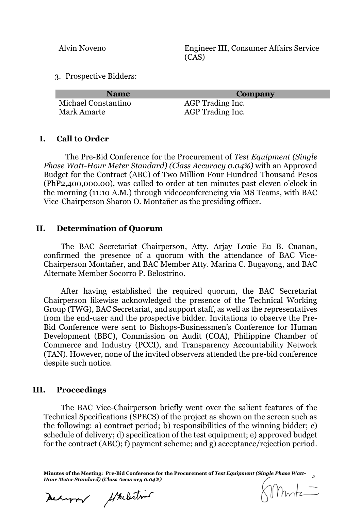Alvin Noveno Engineer III, Consumer Affairs Service (CAS)

3. Prospective Bidders:

| <b>Name</b>         | Company                 |
|---------------------|-------------------------|
| Michael Constantino | AGP Trading Inc.        |
| Mark Amarte         | <b>AGP</b> Trading Inc. |

#### **I. Call to Order**

The Pre-Bid Conference for the Procurement of *Test Equipment (Single Phase Watt-Hour Meter Standard) (Class Accuracy 0.04%)* with an Approved Budget for the Contract (ABC) of Two Million Four Hundred Thousand Pesos (PhP2,400,000.00), was called to order at ten minutes past eleven o'clock in the morning (11:10 A.M.) through videoconferencing via MS Teams, with BAC Vice-Chairperson Sharon O. Montañer as the presiding officer.

#### **II. Determination of Quorum**

The BAC Secretariat Chairperson, Atty. Arjay Louie Eu B. Cuanan, confirmed the presence of a quorum with the attendance of BAC Vice-Chairperson Montañer, and BAC Member Atty. Marina C. Bugayong, and BAC Alternate Member Socorro P. Belostrino.

After having established the required quorum, the BAC Secretariat Chairperson likewise acknowledged the presence of the Technical Working Group (TWG), BAC Secretariat, and support staff, as well as the representatives from the end-user and the prospective bidder. Invitations to observe the Pre-Bid Conference were sent to Bishops-Businessmen's Conference for Human Development (BBC), Commission on Audit (COA), Philippine Chamber of Commerce and Industry (PCCI), and Transparency Accountability Network (TAN). However, none of the invited observers attended the pre-bid conference despite such notice.

#### **III. Proceedings**

The BAC Vice-Chairperson briefly went over the salient features of the Technical Specifications (SPECS) of the project as shown on the screen such as the following: a) contract period; b) responsibilities of the winning bidder; c) schedule of delivery; d) specification of the test equipment; e) approved budget for the contract (ABC); f) payment scheme; and g) acceptance/rejection period.

**Minutes of the Meeting: Pre-Bid Conference for the Procurement of** *Test Equipment (Single Phase Watt-Hour Meter Standard) (Class Accuracy 0.04%) <sup>2</sup>*

Meanwar Strelestin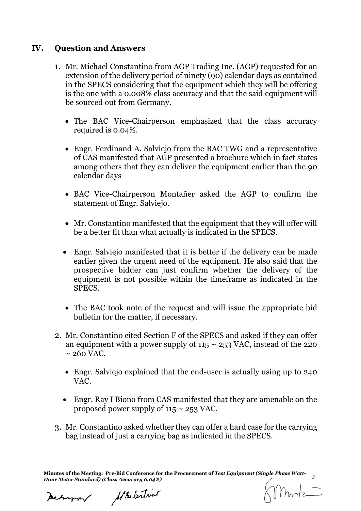## **IV. Question and Answers**

- 1. Mr. Michael Constantino from AGP Trading Inc. (AGP) requested for an extension of the delivery period of ninety (90) calendar days as contained in the SPECS considering that the equipment which they will be offering is the one with a 0.008% class accuracy and that the said equipment will be sourced out from Germany.
	- The BAC Vice-Chairperson emphasized that the class accuracy required is 0.04%.
	- Engr. Ferdinand A. Salviejo from the BAC TWG and a representative of CAS manifested that AGP presented a brochure which in fact states among others that they can deliver the equipment earlier than the 90 calendar days
	- BAC Vice-Chairperson Montañer asked the AGP to confirm the statement of Engr. Salviejo.
	- Mr. Constantino manifested that the equipment that they will offer will be a better fit than what actually is indicated in the SPECS.
	- Engr. Salviejo manifested that it is better if the delivery can be made earlier given the urgent need of the equipment. He also said that the prospective bidder can just confirm whether the delivery of the equipment is not possible within the timeframe as indicated in the SPECS.
	- The BAC took note of the request and will issue the appropriate bid bulletin for the matter, if necessary.
- 2. Mr. Constantino cited Section F of the SPECS and asked if they can offer an equipment with a power supply of  $115 \sim 253$  VAC, instead of the 220  $\sim$  260 VAC.
	- Engr. Salviejo explained that the end-user is actually using up to 240 VAC.
	- Engr. Ray I Biono from CAS manifested that they are amenable on the proposed power supply of  $115 \sim 253$  VAC.
- 3. Mr. Constantino asked whether they can offer a hard case for the carrying bag instead of just a carrying bag as indicated in the SPECS.

**Minutes of the Meeting: Pre-Bid Conference for the Procurement of** *Test Equipment (Single Phase Watt-Hour Meter Standard) (Class Accuracy 0.04%) <sup>3</sup>*

Mehappy

Strelestin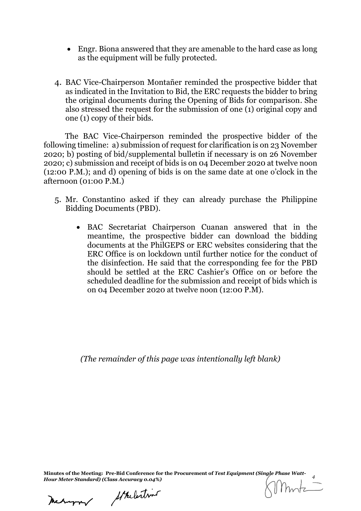- Engr. Biona answered that they are amenable to the hard case as long as the equipment will be fully protected.
- 4. BAC Vice-Chairperson Montañer reminded the prospective bidder that as indicated in the Invitation to Bid, the ERC requests the bidder to bring the original documents during the Opening of Bids for comparison. She also stressed the request for the submission of one (1) original copy and one (1) copy of their bids.

The BAC Vice-Chairperson reminded the prospective bidder of the following timeline: a) submission of request for clarification is on 23 November 2020; b) posting of bid/supplemental bulletin if necessary is on 26 November 2020; c) submission and receipt of bids is on 04 December 2020 at twelve noon (12:00 P.M.); and d) opening of bids is on the same date at one o'clock in the afternoon (01:00 P.M.)

- 5. Mr. Constantino asked if they can already purchase the Philippine Bidding Documents (PBD).
	- BAC Secretariat Chairperson Cuanan answered that in the meantime, the prospective bidder can download the bidding documents at the PhilGEPS or ERC websites considering that the ERC Office is on lockdown until further notice for the conduct of the disinfection. He said that the corresponding fee for the PBD should be settled at the ERC Cashier's Office on or before the scheduled deadline for the submission and receipt of bids which is on 04 December 2020 at twelve noon (12:00 P.M).

*(The remainder of this page was intentionally left blank)*

**Minutes of the Meeting: Pre-Bid Conference for the Procurement of** *Test Equipment (Single Phase Watt-Hour Meter Standard) (Class Accuracy 0.04%) <sup>4</sup>*

Meturn/

Starlestin